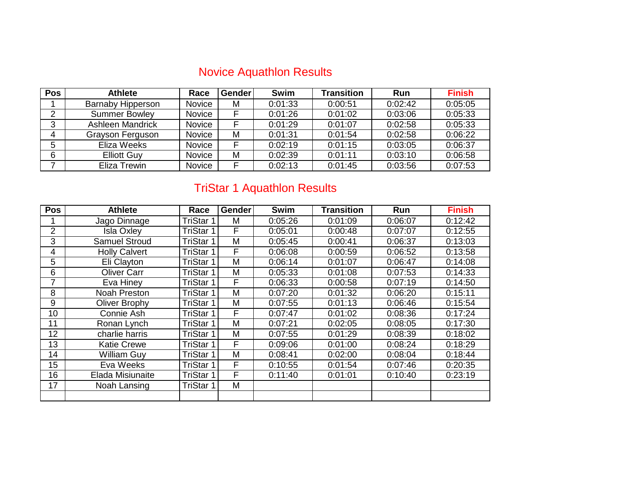## Novice Aquathlon Results

| <b>Pos</b> | <b>Athlete</b>           | Race          | <b>Gender</b> | <b>Swim</b> | <b>Transition</b> | <b>Run</b> | <b>Finish</b> |
|------------|--------------------------|---------------|---------------|-------------|-------------------|------------|---------------|
|            | <b>Barnaby Hipperson</b> | Novice        | м             | 0:01:33     | 0:00:51           | 0:02:42    | 0:05:05       |
| 2          | <b>Summer Bowley</b>     | Novice        | F             | 0:01:26     | 0:01:02           | 0:03:06    | 0:05:33       |
| 3          | Ashleen Mandrick         | Novice        | F             | 0:01:29     | 0:01:07           | 0:02:58    | 0:05:33       |
| 4          | Grayson Ferguson         | <b>Novice</b> | M             | 0:01:31     | 0:01:54           | 0:02:58    | 0:06:22       |
| 5          | Eliza Weeks              | Novice        | F             | 0:02:19     | 0:01:15           | 0:03:05    | 0:06:37       |
| 6          | <b>Elliott Guy</b>       | Novice        | м             | 0:02:39     | 0:01:11           | 0:03:10    | 0:06:58       |
|            | Eliza Trewin             | Novice        | F             | 0:02:13     | 0:01:45           | 0:03:56    | 0:07:53       |

## TriStar 1 Aquathlon Results

| <b>Pos</b>     | <b>Athlete</b>       | Race             | <b>Gender</b> | <b>Swim</b> | <b>Transition</b> | Run     | <b>Finish</b> |
|----------------|----------------------|------------------|---------------|-------------|-------------------|---------|---------------|
|                | Jago Dinnage         | TriStar 1        | М             | 0:05:26     | 0:01:09           | 0:06:07 | 0:12:42       |
| 2              | <b>Isla Oxley</b>    | TriStar 1        | F             | 0:05:01     | 0:00:48           | 0:07:07 | 0:12:55       |
| 3              | <b>Samuel Stroud</b> | TriStar 1        | M             | 0:05:45     | 0:00:41           | 0:06:37 | 0:13:03       |
| $\overline{4}$ | <b>Holly Calvert</b> | TriStar 1        | F             | 0:06:08     | 0:00:59           | 0:06:52 | 0:13:58       |
| 5              | Eli Clayton          | TriStar 1        | M             | 0:06:14     | 0:01:07           | 0:06:47 | 0:14:08       |
| 6              | <b>Oliver Carr</b>   | TriStar 1        | M             | 0:05:33     | 0:01:08           | 0:07:53 | 0:14:33       |
| 7              | Eva Hiney            | TriStar 1        | F             | 0:06:33     | 0:00:58           | 0:07:19 | 0:14:50       |
| 8              | Noah Preston         | TriStar 1        | M             | 0:07:20     | 0:01:32           | 0:06:20 | 0:15:11       |
| 9              | Oliver Brophy        | TriStar 1        | Μ             | 0:07:55     | 0:01:13           | 0:06:46 | 0:15:54       |
| 10             | Connie Ash           | TriStar 1        | F             | 0:07:47     | 0:01:02           | 0:08:36 | 0:17:24       |
| 11             | Ronan Lynch          | <b>TriStar 1</b> | M             | 0:07:21     | 0:02:05           | 0:08:05 | 0:17:30       |
| 12             | charlie harris       | TriStar 1        | M             | 0:07:55     | 0:01:29           | 0:08:39 | 0:18:02       |
| 13             | <b>Katie Crewe</b>   | TriStar 1        | F             | 0:09:06     | 0:01:00           | 0:08:24 | 0:18:29       |
| 14             | <b>William Guy</b>   | TriStar 1        | M             | 0:08:41     | 0:02:00           | 0:08:04 | 0:18:44       |
| 15             | Eva Weeks            | TriStar 1        | F             | 0:10:55     | 0:01:54           | 0:07:46 | 0:20:35       |
| 16             | Elada Misiunaite     | TriStar 1        | F             | 0:11:40     | 0:01:01           | 0:10:40 | 0:23:19       |
| 17             | Noah Lansing         | TriStar 1        | M             |             |                   |         |               |
|                |                      |                  |               |             |                   |         |               |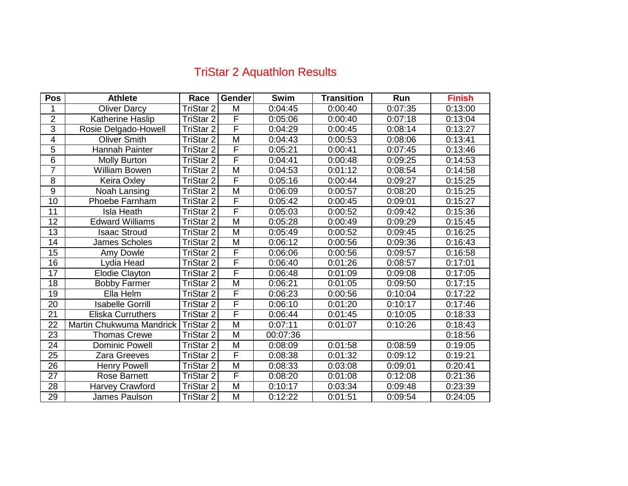## TriStar 2 Aquathlon Results

| <b>Pos</b>      | <b>Athlete</b>           | Race             | <b>Gender</b>           | <b>Swim</b> | <b>Transition</b> | Run     | <b>Finish</b> |
|-----------------|--------------------------|------------------|-------------------------|-------------|-------------------|---------|---------------|
| 1               | <b>Oliver Darcy</b>      | <b>TriStar 2</b> | M                       | 0:04:45     | 0:00:40           | 0:07:35 | 0:13:00       |
| $\overline{2}$  | Katherine Haslip         | <b>TriStar 2</b> | F                       | 0:05:06     | 0:00:40           | 0:07:18 | 0:13:04       |
| $\overline{3}$  | Rosie Delgado-Howell     | <b>TriStar 2</b> | F                       | 0:04:29     | 0:00:45           | 0:08:14 | 0:13:27       |
| $\overline{4}$  | <b>Oliver Smith</b>      | TriStar 2        | $\overline{\mathsf{M}}$ | 0:04:43     | 0:00:53           | 0:08:06 | 0:13:41       |
| 5               | Hannah Painter           | TriStar 2        | F                       | 0:05:21     | 0:00:41           | 0:07:45 | 0:13:46       |
| $\overline{6}$  | <b>Molly Burton</b>      | TriStar 2        | F                       | 0:04:41     | 0:00:48           | 0:09:25 | 0:14:53       |
| $\overline{7}$  | William Bowen            | <b>TriStar 2</b> | M                       | 0:04:53     | 0:01:12           | 0:08:54 | 0:14:58       |
| 8               | Keira Oxley              | <b>TriStar 2</b> | F                       | 0:05:16     | 0:00:44           | 0:09:27 | 0:15:25       |
| $\overline{9}$  | Noah Lansing             | TriStar 2        | $\overline{M}$          | 0:06:09     | 0:00:57           | 0:08:20 | 0:15:25       |
| 10              | <b>Phoebe Farnham</b>    | TriStar 2        | F                       | 0:05:42     | 0:00:45           | 0:09:01 | 0:15:27       |
| 11              | <b>Isla Heath</b>        | TriStar 2        | F                       | 0:05:03     | 0:00:52           | 0:09:42 | 0:15:36       |
| 12              | <b>Edward Williams</b>   | <b>TriStar 2</b> | M                       | 0:05:28     | 0:00:49           | 0:09:29 | 0:15:45       |
| $\overline{13}$ | <b>Isaac Stroud</b>      | <b>TriStar 2</b> | $\overline{\mathsf{M}}$ | 0:05:49     | 0:00:52           | 0:09:45 | 0:16:25       |
| 14              | <b>James Scholes</b>     | <b>TriStar 2</b> | M                       | 0:06:12     | 0:00:56           | 0:09:36 | 0:16:43       |
| $\overline{15}$ | Amy Dowle                | <b>TriStar 2</b> | F                       | 0:06:06     | 0:00:56           | 0:09:57 | 0:16:58       |
| 16              | Lydia Head               | <b>TriStar 2</b> | F                       | 0:06:40     | 0:01:26           | 0:08:57 | 0:17:01       |
| $\overline{17}$ | <b>Elodie Clayton</b>    | TriStar 2        | $\overline{\mathsf{F}}$ | 0:06:48     | 0:01:09           | 0:09:08 | 0:17:05       |
| 18              | <b>Bobby Farmer</b>      | TriStar 2        | M                       | 0:06:21     | 0:01:05           | 0:09:50 | 0:17:15       |
| 19              | Ella Helm                | <b>TriStar 2</b> | F                       | 0:06:23     | 0:00:56           | 0:10:04 | 0:17:22       |
| 20              | <b>Isabelle Gorrill</b>  | TriStar 2        | F                       | 0:06:10     | 0:01:20           | 0:10:17 | 0:17:46       |
| 21              | <b>Eliska Curruthers</b> | <b>TriStar 2</b> | $\overline{\mathsf{F}}$ | 0:06:44     | 0:01:45           | 0:10:05 | 0:18:33       |
| 22              | Martin Chukwuma Mandrick | <b>TriStar 2</b> | M                       | 0:07:11     | 0:01:07           | 0:10:26 | 0:18:43       |
| 23              | <b>Thomas Crewe</b>      | <b>TriStar 2</b> | M                       | 00:07:36    |                   |         | 0:18:56       |
| 24              | <b>Dominic Powell</b>    | <b>TriStar 2</b> | M                       | 0:08:09     | 0:01:58           | 0:08:59 | 0:19:05       |
| 25              | Zara Greeves             | <b>TriStar 2</b> | F                       | 0:08:38     | 0:01:32           | 0:09:12 | 0:19:21       |
| 26              | <b>Henry Powell</b>      | TriStar 2        | M                       | 0:08:33     | 0:03:08           | 0:09:01 | 0:20:41       |
| 27              | <b>Rose Barnett</b>      | TriStar 2        | F                       | 0:08:20     | 0:01:08           | 0:12:08 | 0:21:36       |
| 28              | <b>Harvey Crawford</b>   | <b>TriStar 2</b> | M                       | 0:10:17     | 0:03:34           | 0:09:48 | 0:23:39       |
| $\overline{29}$ | James Paulson            | <b>TriStar 2</b> | $\overline{\mathsf{M}}$ | 0:12:22     | 0:01:51           | 0:09:54 | 0:24:05       |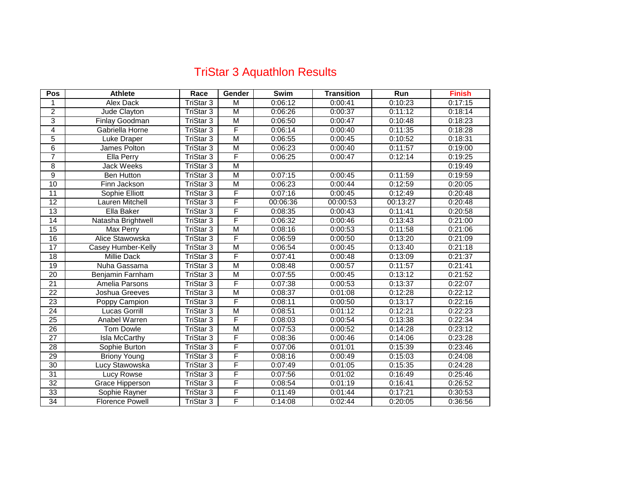## TriStar 3 Aquathlon Results

| <b>Pos</b>      | <b>Athlete</b>         | Race                 | <b>Gender</b>  | <b>Swim</b> | <b>Transition</b> | Run      | <b>Finish</b> |
|-----------------|------------------------|----------------------|----------------|-------------|-------------------|----------|---------------|
| 1               | <b>Alex Dack</b>       | <b>TriStar 3</b>     | M              | 0:06:12     | 0:00:41           | 0:10:23  | 0:17:15       |
| $\overline{2}$  | Jude Clayton           | <b>TriStar 3</b>     | M              | 0:06:26     | 0:00:37           | 0:11:12  | 0:18:14       |
| 3               | Finlay Goodman         | TriStar 3            | M              | 0:06:50     | 0:00:47           | 0:10:48  | 0:18:23       |
| 4               | Gabriella Horne        | TriStar <sub>3</sub> | F              | 0:06:14     | 0:00:40           | 0:11:35  | 0:18:28       |
| 5               | Luke Draper            | TriStar 3            | $\overline{M}$ | 0:06:55     | 0:00:45           | 0:10:52  | 0:18:31       |
| $\overline{6}$  | James Polton           | TriStar <sub>3</sub> | M              | 0:06:23     | 0:00:40           | 0:11:57  | 0:19:00       |
| 7               | Ella Perry             | <b>TriStar 3</b>     | F              | 0:06:25     | 0:00:47           | 0:12:14  | 0:19:25       |
| $\overline{8}$  | <b>Jack Weeks</b>      | <b>TriStar 3</b>     | $\overline{M}$ |             |                   |          | 0:19:49       |
| $\overline{9}$  | <b>Ben Hutton</b>      | TriStar 3            | $\overline{M}$ | 0:07:15     | 0:00:45           | 0:11:59  | 0:19:59       |
| 10              | Finn Jackson           | TriStar 3            | M              | 0:06:23     | 0:00:44           | 0:12:59  | 0:20:05       |
| 11              | Sophie Elliott         | TriStar 3            | F              | 0:07:16     | 0:00:45           | 0:12:49  | 0:20:48       |
| 12              | Lauren Mitchell        | <b>TriStar 3</b>     | F              | 00:06:36    | 00:00:53          | 00:13:27 | 0:20:48       |
| 13              | Ella Baker             | <b>TriStar 3</b>     | F              | 0:08:35     | 0:00:43           | 0:11:41  | 0:20:58       |
| 14              | Natasha Brightwell     | TriStar <sub>3</sub> | F              | 0:06:32     | 0:00:46           | 0:13:43  | 0:21:00       |
| 15              | Max Perry              | TriStar 3            | $\overline{M}$ | 0:08:16     | 0:00:53           | 0:11:58  | 0:21:06       |
| $\overline{16}$ | Alice Stawowska        | <b>TriStar 3</b>     | F              | 0:06:59     | 0:00:50           | 0:13:20  | 0:21:09       |
| 17              | Casey Humber-Kelly     | <b>TriStar 3</b>     | M              | 0:06:54     | 0:00:45           | 0:13:40  | 0:21:18       |
| 18              | Millie Dack            | TriStar 3            | F              | 0:07:41     | 0:00:48           | 0:13:09  | 0:21:37       |
| 19              | Nuha Gassama           | <b>TriStar 3</b>     | M              | 0:08:48     | 0:00:57           | 0:11:57  | 0:21:41       |
| 20              | Benjamin Farnham       | TriStar 3            | M              | 0:07:55     | 0:00:45           | 0:13:12  | 0:21:52       |
| 21              | Amelia Parsons         | <b>TriStar 3</b>     | F              | 0:07:38     | 0:00:53           | 0:13:37  | 0:22:07       |
| 22              | Joshua Greeves         | TriStar 3            | $\overline{M}$ | 0:08:37     | 0:01:08           | 0:12:28  | 0:22:12       |
| 23              | Poppy Campion          | TriStar 3            | F              | 0:08:11     | 0:00:50           | 0:13:17  | 0:22:16       |
| $\overline{24}$ | Lucas Gorrill          | <b>TriStar 3</b>     | M              | 0:08:51     | 0:01:12           | 0:12:21  | 0:22:23       |
| 25              | Anabel Warren          | TriStar 3            | F              | 0:08:03     | 0:00:54           | 0:13:38  | 0:22:34       |
| 26              | <b>Tom Dowle</b>       | <b>TriStar 3</b>     | M              | 0:07:53     | 0:00:52           | 0:14:28  | 0:23:12       |
| 27              | Isla McCarthy          | TriStar 3            | F              | 0:08:36     | 0:00:46           | 0:14:06  | 0:23:28       |
| 28              | Sophie Burton          | <b>TriStar 3</b>     | F              | 0:07:06     | 0:01:01           | 0:15:39  | 0:23:46       |
| 29              | <b>Briony Young</b>    | <b>TriStar 3</b>     | F              | 0:08:16     | 0:00:49           | 0:15:03  | 0:24:08       |
| 30              | Lucy Stawowska         | TriStar 3            | F              | 0:07:49     | 0:01:05           | 0:15:35  | 0:24:28       |
| $\overline{31}$ | <b>Lucy Rowse</b>      | <b>TriStar 3</b>     | F              | 0:07:56     | 0:01:02           | 0:16:49  | 0:25:46       |
| 32              | Grace Hipperson        | TriStar 3            | F              | 0:08:54     | 0:01:19           | 0:16:41  | 0:26:52       |
| $\overline{33}$ | Sophie Rayner          | <b>TriStar 3</b>     | F              | 0:11:49     | 0:01:44           | 0:17:21  | 0:30:53       |
| 34              | <b>Florence Powell</b> | <b>TriStar 3</b>     | F              | 0:14:08     | 0:02:44           | 0:20:05  | 0:36:56       |